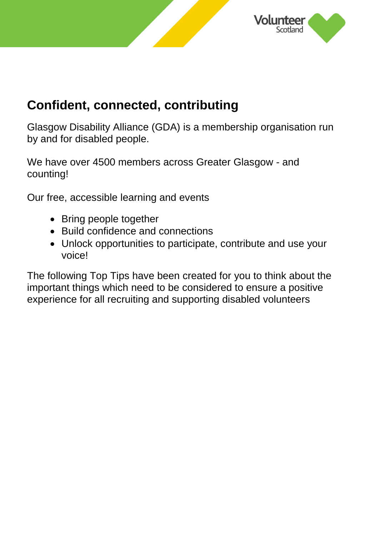

## **Confident, connected, contributing**

Glasgow Disability Alliance (GDA) is a membership organisation run by and for disabled people.

We have over 4500 members across Greater Glasgow - and counting!

Our free, accessible learning and events

- Bring people together
- Build confidence and connections
- Unlock opportunities to participate, contribute and use your voice!

The following Top Tips have been created for you to think about the important things which need to be considered to ensure a positive experience for all recruiting and supporting disabled volunteers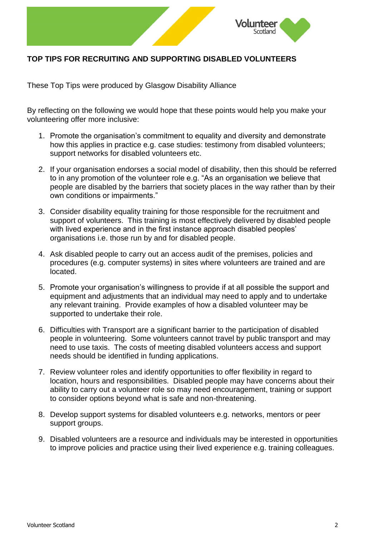

## **TOP TIPS FOR RECRUITING AND SUPPORTING DISABLED VOLUNTEERS**

These Top Tips were produced by Glasgow Disability Alliance

By reflecting on the following we would hope that these points would help you make your volunteering offer more inclusive:

- 1. Promote the organisation's commitment to equality and diversity and demonstrate how this applies in practice e.g. case studies: testimony from disabled volunteers; support networks for disabled volunteers etc.
- 2. If your organisation endorses a social model of disability, then this should be referred to in any promotion of the volunteer role e.g. "As an organisation we believe that people are disabled by the barriers that society places in the way rather than by their own conditions or impairments."
- 3. Consider disability equality training for those responsible for the recruitment and support of volunteers. This training is most effectively delivered by disabled people with lived experience and in the first instance approach disabled peoples' organisations i.e. those run by and for disabled people.
- 4. Ask disabled people to carry out an access audit of the premises, policies and procedures (e.g. computer systems) in sites where volunteers are trained and are located.
- 5. Promote your organisation's willingness to provide if at all possible the support and equipment and adjustments that an individual may need to apply and to undertake any relevant training. Provide examples of how a disabled volunteer may be supported to undertake their role.
- 6. Difficulties with Transport are a significant barrier to the participation of disabled people in volunteering. Some volunteers cannot travel by public transport and may need to use taxis. The costs of meeting disabled volunteers access and support needs should be identified in funding applications.
- 7. Review volunteer roles and identify opportunities to offer flexibility in regard to location, hours and responsibilities. Disabled people may have concerns about their ability to carry out a volunteer role so may need encouragement, training or support to consider options beyond what is safe and non-threatening.
- 8. Develop support systems for disabled volunteers e.g. networks, mentors or peer support groups.
- 9. Disabled volunteers are a resource and individuals may be interested in opportunities to improve policies and practice using their lived experience e.g. training colleagues.